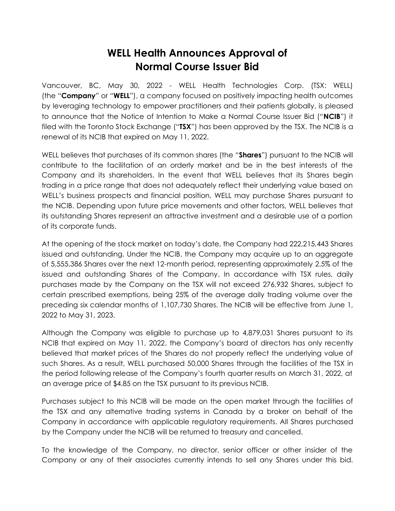## **WELL Health Announces Approval of Normal Course Issuer Bid**

Vancouver, BC, May 30, 2022 - WELL Health Technologies Corp. (TSX: WELL) (the "**Company**" or "**WELL**"), a company focused on positively impacting health outcomes by leveraging technology to empower practitioners and their patients globally, is pleased to announce that the Notice of Intention to Make a Normal Course Issuer Bid ("**NCIB**") it filed with the Toronto Stock Exchange ("**TSX**") has been approved by the TSX. The NCIB is a renewal of its NCIB that expired on May 11, 2022.

WELL believes that purchases of its common shares (the "**Shares**") pursuant to the NCIB will contribute to the facilitation of an orderly market and be in the best interests of the Company and its shareholders. In the event that WELL believes that its Shares begin trading in a price range that does not adequately reflect their underlying value based on WELL's business prospects and financial position, WELL may purchase Shares pursuant to the NCIB. Depending upon future price movements and other factors, WELL believes that its outstanding Shares represent an attractive investment and a desirable use of a portion of its corporate funds.

At the opening of the stock market on today's date, the Company had 222,215,443 Shares issued and outstanding. Under the NCIB, the Company may acquire up to an aggregate of 5,555,386 Shares over the next 12-month period, representing approximately 2.5% of the issued and outstanding Shares of the Company. In accordance with TSX rules, daily purchases made by the Company on the TSX will not exceed 276,932 Shares, subject to certain prescribed exemptions, being 25% of the average daily trading volume over the preceding six calendar months of 1,107,730 Shares. The NCIB will be effective from June 1, 2022 to May 31, 2023.

Although the Company was eligible to purchase up to 4,879,031 Shares pursuant to its NCIB that expired on May 11, 2022, the Company's board of directors has only recently believed that market prices of the Shares do not properly reflect the underlying value of such Shares. As a result, WELL purchased 50,000 Shares through the facilities of the TSX in the period following release of the Company's fourth quarter results on March 31, 2022, at an average price of \$4.85 on the TSX pursuant to its previous NCIB.

Purchases subject to this NCIB will be made on the open market through the facilities of the TSX and any alternative trading systems in Canada by a broker on behalf of the Company in accordance with applicable regulatory requirements. All Shares purchased by the Company under the NCIB will be returned to treasury and cancelled.

To the knowledge of the Company, no director, senior officer or other insider of the Company or any of their associates currently intends to sell any Shares under this bid.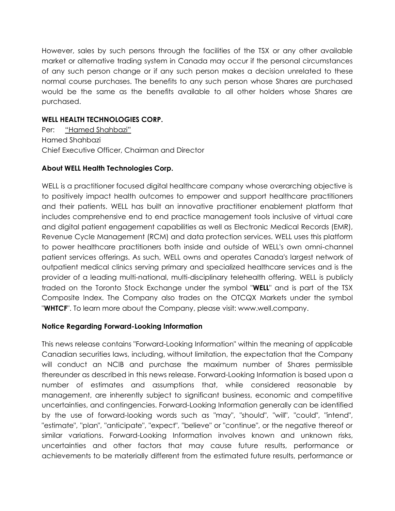However, sales by such persons through the facilities of the TSX or any other available market or alternative trading system in Canada may occur if the personal circumstances of any such person change or if any such person makes a decision unrelated to these normal course purchases. The benefits to any such person whose Shares are purchased would be the same as the benefits available to all other holders whose Shares are purchased.

## **WELL HEALTH TECHNOLOGIES CORP.**

Per: "Hamed Shahbazi" Hamed Shahbazi Chief Executive Officer, Chairman and Director

## **About WELL Health Technologies Corp.**

WELL is a practitioner focused digital healthcare company whose overarching objective is to positively impact health outcomes to empower and support healthcare practitioners and their patients. WELL has built an innovative practitioner enablement platform that includes comprehensive end to end practice management tools inclusive of virtual care and digital patient engagement capabilities as well as Electronic Medical Records (EMR), Revenue Cycle Management (RCM) and data protection services. WELL uses this platform to power healthcare practitioners both inside and outside of WELL's own omni-channel patient services offerings. As such, WELL owns and operates Canada's largest network of outpatient medical clinics serving primary and specialized healthcare services and is the provider of a leading multi-national, multi-disciplinary telehealth offering. WELL is publicly traded on the Toronto Stock Exchange under the symbol "**WELL**" and is part of the TSX Composite Index. The Company also trades on the OTCQX Markets under the symbol "**WHTCF**". To learn more about the Company, please visit: www.well.company.

## **Notice Regarding Forward-Looking Information**

This news release contains "Forward-Looking Information" within the meaning of applicable Canadian securities laws, including, without limitation, the expectation that the Company will conduct an NCIB and purchase the maximum number of Shares permissible thereunder as described in this news release. Forward-Looking Information is based upon a number of estimates and assumptions that, while considered reasonable by management, are inherently subject to significant business, economic and competitive uncertainties, and contingencies. Forward-Looking Information generally can be identified by the use of forward-looking words such as "may", "should", "will", "could", "intend", "estimate", "plan", "anticipate", "expect", "believe" or "continue", or the negative thereof or similar variations. Forward-Looking Information involves known and unknown risks, uncertainties and other factors that may cause future results, performance or achievements to be materially different from the estimated future results, performance or